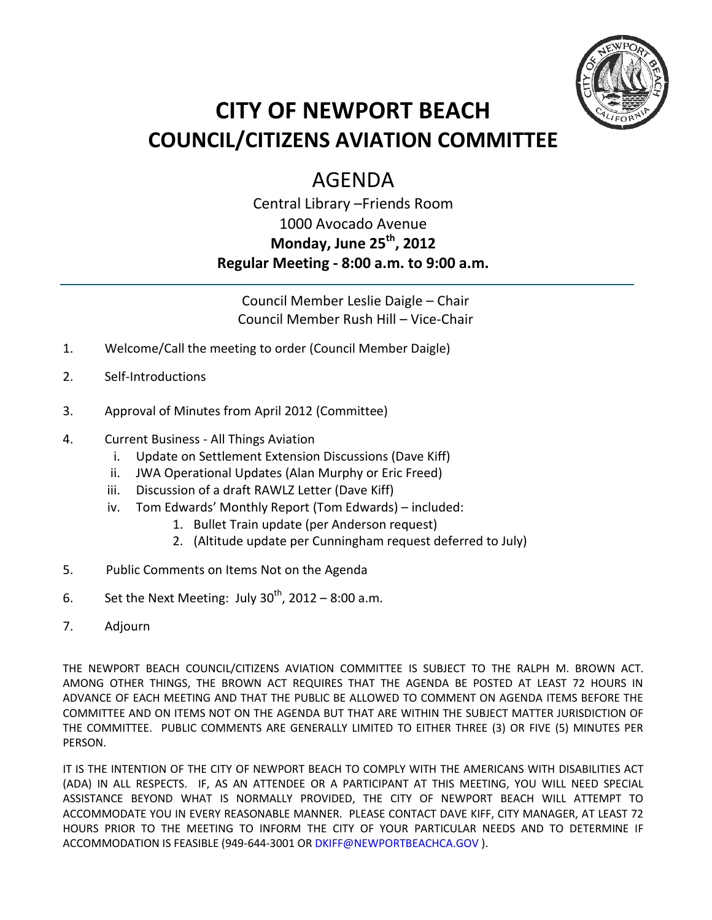

# **CITY OF NEWPORT BEACH COUNCIL/CITIZENS AVIATION COMMITTEE**

## AGENDA

## Central Library –Friends Room 1000 Avocado Avenue **Monday, June 25th, 2012 Regular Meeting - 8:00 a.m. to 9:00 a.m.**

Council Member Leslie Daigle – Chair Council Member Rush Hill – Vice-Chair

- 1. Welcome/Call the meeting to order (Council Member Daigle)
- 2. Self-Introductions
- 3. Approval of Minutes from April 2012 (Committee)
- 4. Current Business All Things Aviation
	- i. Update on Settlement Extension Discussions (Dave Kiff)
	- ii. JWA Operational Updates (Alan Murphy or Eric Freed)
	- iii. Discussion of a draft RAWLZ Letter (Dave Kiff)
	- iv. Tom Edwards' Monthly Report (Tom Edwards) included:
		- 1. Bullet Train update (per Anderson request)
		- 2. (Altitude update per Cunningham request deferred to July)
- 5. Public Comments on Items Not on the Agenda
- 6. Set the Next Meeting: July  $30<sup>th</sup>$ , 2012 8:00 a.m.
- 7. Adjourn

THE NEWPORT BEACH COUNCIL/CITIZENS AVIATION COMMITTEE IS SUBJECT TO THE RALPH M. BROWN ACT. AMONG OTHER THINGS, THE BROWN ACT REQUIRES THAT THE AGENDA BE POSTED AT LEAST 72 HOURS IN ADVANCE OF EACH MEETING AND THAT THE PUBLIC BE ALLOWED TO COMMENT ON AGENDA ITEMS BEFORE THE COMMITTEE AND ON ITEMS NOT ON THE AGENDA BUT THAT ARE WITHIN THE SUBJECT MATTER JURISDICTION OF THE COMMITTEE. PUBLIC COMMENTS ARE GENERALLY LIMITED TO EITHER THREE (3) OR FIVE (5) MINUTES PER PERSON.

IT IS THE INTENTION OF THE CITY OF NEWPORT BEACH TO COMPLY WITH THE AMERICANS WITH DISABILITIES ACT (ADA) IN ALL RESPECTS. IF, AS AN ATTENDEE OR A PARTICIPANT AT THIS MEETING, YOU WILL NEED SPECIAL ASSISTANCE BEYOND WHAT IS NORMALLY PROVIDED, THE CITY OF NEWPORT BEACH WILL ATTEMPT TO ACCOMMODATE YOU IN EVERY REASONABLE MANNER. PLEASE CONTACT DAVE KIFF, CITY MANAGER, AT LEAST 72 HOURS PRIOR TO THE MEETING TO INFORM THE CITY OF YOUR PARTICULAR NEEDS AND TO DETERMINE IF ACCOMMODATION IS FEASIBLE (949-644-3001 OR DKIFF@NEWPORTBEACHCA.GOV ).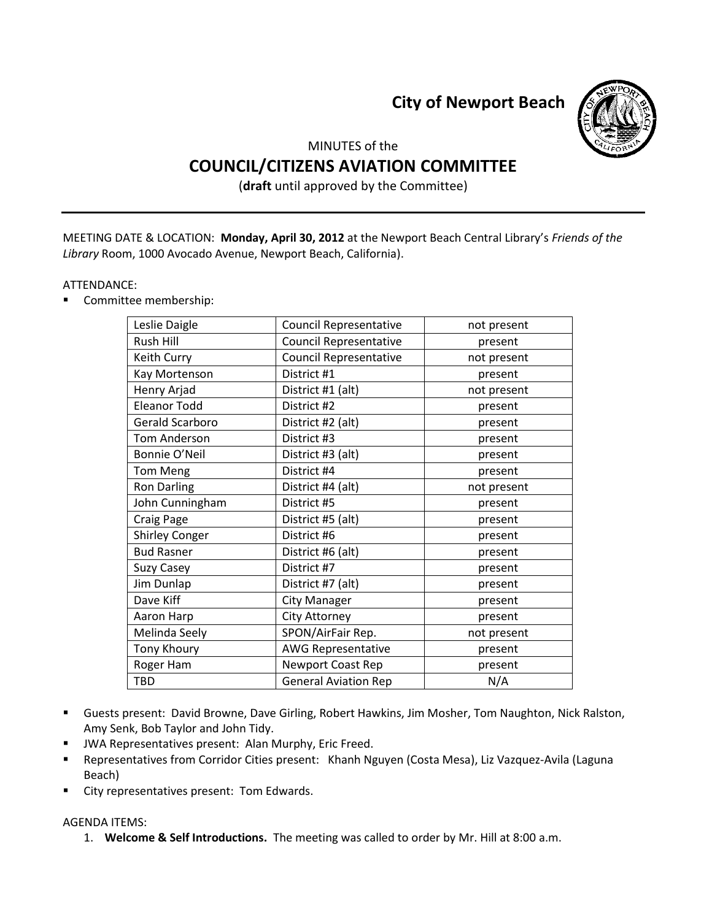**City of Newport Beach**



### MINUTES of the **COUNCIL/CITIZENS AVIATION COMMITTEE**

(**draft** until approved by the Committee)

MEETING DATE & LOCATION: **Monday, April 30, 2012** at the Newport Beach Central Library's *Friends of the Library* Room, 1000 Avocado Avenue, Newport Beach, California).

#### ATTENDANCE:

Committee membership:

| <b>Council Representative</b> | not present |
|-------------------------------|-------------|
| <b>Council Representative</b> | present     |
| <b>Council Representative</b> | not present |
| District #1                   | present     |
| District #1 (alt)             | not present |
| District #2                   | present     |
| District #2 (alt)             | present     |
| District #3                   | present     |
| District #3 (alt)             | present     |
| District #4                   | present     |
| District #4 (alt)             | not present |
| District #5                   | present     |
| District #5 (alt)             | present     |
| District #6                   | present     |
| District #6 (alt)             | present     |
| District #7                   | present     |
| District #7 (alt)             | present     |
| <b>City Manager</b>           | present     |
| City Attorney                 | present     |
| SPON/AirFair Rep.             | not present |
| <b>AWG Representative</b>     | present     |
| Newport Coast Rep             | present     |
| <b>General Aviation Rep</b>   | N/A         |
|                               |             |

- Guests present: David Browne, Dave Girling, Robert Hawkins, Jim Mosher, Tom Naughton, Nick Ralston, Amy Senk, Bob Taylor and John Tidy.
- **JWA Representatives present: Alan Murphy, Eric Freed.**
- Representatives from Corridor Cities present: Khanh Nguyen (Costa Mesa), Liz Vazquez-Avila (Laguna Beach)
- City representatives present: Tom Edwards.

#### AGENDA ITEMS:

1. **Welcome & Self Introductions.** The meeting was called to order by Mr. Hill at 8:00 a.m.